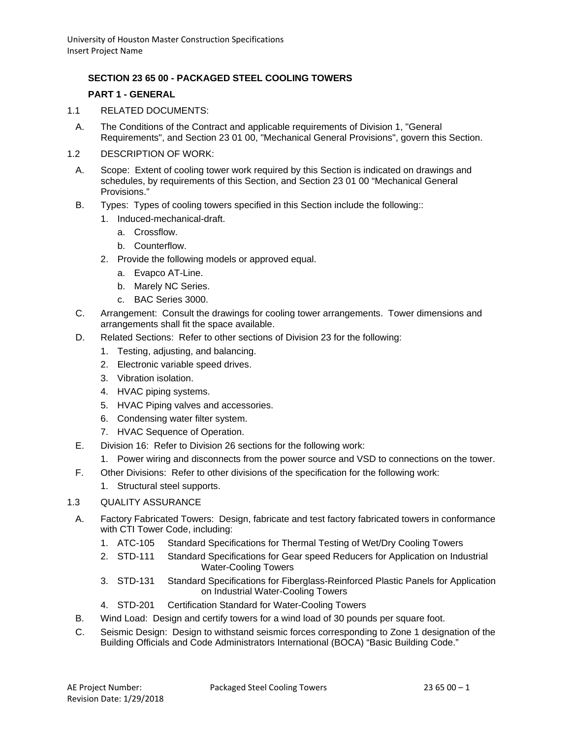# **SECTION 23 65 00 - PACKAGED STEEL COOLING TOWERS**

## **PART 1 - GENERAL**

- 1.1 RELATED DOCUMENTS:
	- A. The Conditions of the Contract and applicable requirements of Division 1, "General Requirements", and Section 23 01 00, "Mechanical General Provisions", govern this Section.
- 1.2 DESCRIPTION OF WORK:
	- A. Scope: Extent of cooling tower work required by this Section is indicated on drawings and schedules, by requirements of this Section, and Section 23 01 00 "Mechanical General Provisions."
	- B. Types: Types of cooling towers specified in this Section include the following::
		- 1. Induced-mechanical-draft.
			- a. Crossflow.
			- b. Counterflow.
		- 2. Provide the following models or approved equal.
			- a. Evapco AT-Line.
			- b. Marely NC Series.
			- c. BAC Series 3000.
	- C. Arrangement: Consult the drawings for cooling tower arrangements. Tower dimensions and arrangements shall fit the space available.
	- D. Related Sections: Refer to other sections of Division 23 for the following:
		- 1. Testing, adjusting, and balancing.
		- 2. Electronic variable speed drives.
		- 3. Vibration isolation.
		- 4. HVAC piping systems.
		- 5. HVAC Piping valves and accessories.
		- 6. Condensing water filter system.
		- 7. HVAC Sequence of Operation.
	- E. Division 16: Refer to Division 26 sections for the following work:
		- 1. Power wiring and disconnects from the power source and VSD to connections on the tower.
	- F. Other Divisions: Refer to other divisions of the specification for the following work:
		- 1. Structural steel supports.

## 1.3 QUALITY ASSURANCE

- A. Factory Fabricated Towers: Design, fabricate and test factory fabricated towers in conformance with CTI Tower Code, including:
	- 1. ATC-105 Standard Specifications for Thermal Testing of Wet/Dry Cooling Towers
	- 2. STD-111 Standard Specifications for Gear speed Reducers for Application on Industrial Water-Cooling Towers
	- 3. STD-131 Standard Specifications for Fiberglass-Reinforced Plastic Panels for Application on Industrial Water-Cooling Towers
	- 4. STD-201 Certification Standard for Water-Cooling Towers
- B. Wind Load: Design and certify towers for a wind load of 30 pounds per square foot.
- C. Seismic Design: Design to withstand seismic forces corresponding to Zone 1 designation of the Building Officials and Code Administrators International (BOCA) "Basic Building Code."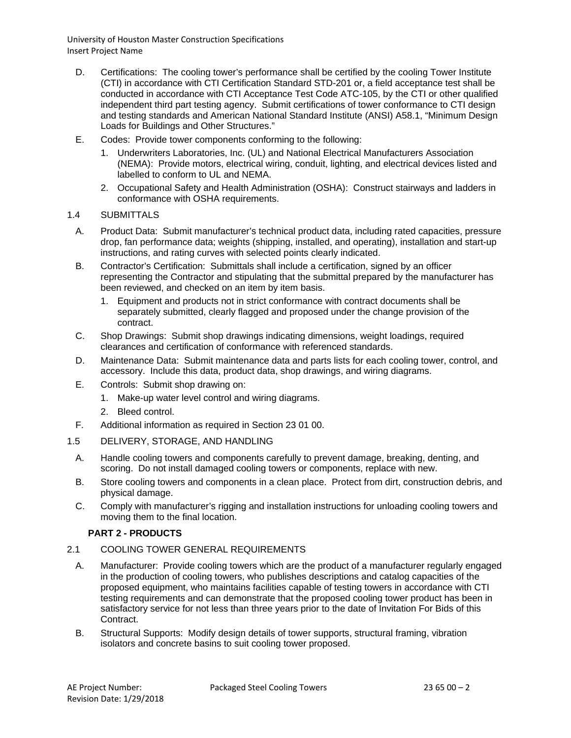- D. Certifications: The cooling tower's performance shall be certified by the cooling Tower Institute (CTI) in accordance with CTI Certification Standard STD-201 or, a field acceptance test shall be conducted in accordance with CTI Acceptance Test Code ATC-105, by the CTI or other qualified independent third part testing agency. Submit certifications of tower conformance to CTI design and testing standards and American National Standard Institute (ANSI) A58.1, "Minimum Design Loads for Buildings and Other Structures."
- E. Codes: Provide tower components conforming to the following:
	- 1. Underwriters Laboratories, Inc. (UL) and National Electrical Manufacturers Association (NEMA): Provide motors, electrical wiring, conduit, lighting, and electrical devices listed and labelled to conform to UL and NEMA.
	- 2. Occupational Safety and Health Administration (OSHA): Construct stairways and ladders in conformance with OSHA requirements.

#### 1.4 SUBMITTALS

- A. Product Data: Submit manufacturer's technical product data, including rated capacities, pressure drop, fan performance data; weights (shipping, installed, and operating), installation and start-up instructions, and rating curves with selected points clearly indicated.
- B. Contractor's Certification: Submittals shall include a certification, signed by an officer representing the Contractor and stipulating that the submittal prepared by the manufacturer has been reviewed, and checked on an item by item basis.
	- 1. Equipment and products not in strict conformance with contract documents shall be separately submitted, clearly flagged and proposed under the change provision of the contract.
- C. Shop Drawings: Submit shop drawings indicating dimensions, weight loadings, required clearances and certification of conformance with referenced standards.
- D. Maintenance Data: Submit maintenance data and parts lists for each cooling tower, control, and accessory. Include this data, product data, shop drawings, and wiring diagrams.
- E. Controls: Submit shop drawing on:
	- 1. Make-up water level control and wiring diagrams.
	- 2. Bleed control.
- F. Additional information as required in Section 23 01 00.
- 1.5 DELIVERY, STORAGE, AND HANDLING
	- A. Handle cooling towers and components carefully to prevent damage, breaking, denting, and scoring. Do not install damaged cooling towers or components, replace with new.
	- B. Store cooling towers and components in a clean place. Protect from dirt, construction debris, and physical damage.
	- C. Comply with manufacturer's rigging and installation instructions for unloading cooling towers and moving them to the final location.

## **PART 2 - PRODUCTS**

#### 2.1 COOLING TOWER GENERAL REQUIREMENTS

- A. Manufacturer: Provide cooling towers which are the product of a manufacturer regularly engaged in the production of cooling towers, who publishes descriptions and catalog capacities of the proposed equipment, who maintains facilities capable of testing towers in accordance with CTI testing requirements and can demonstrate that the proposed cooling tower product has been in satisfactory service for not less than three years prior to the date of Invitation For Bids of this Contract.
- B. Structural Supports: Modify design details of tower supports, structural framing, vibration isolators and concrete basins to suit cooling tower proposed.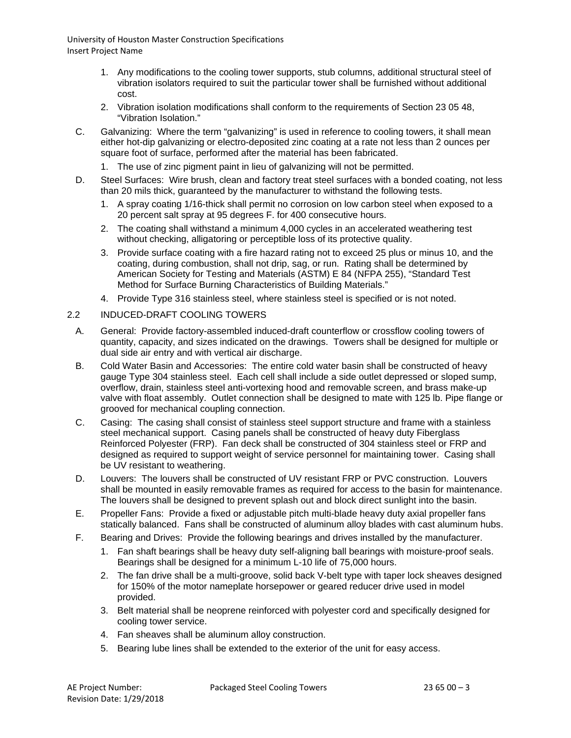- 1. Any modifications to the cooling tower supports, stub columns, additional structural steel of vibration isolators required to suit the particular tower shall be furnished without additional cost.
- 2. Vibration isolation modifications shall conform to the requirements of Section 23 05 48, "Vibration Isolation."
- C. Galvanizing: Where the term "galvanizing" is used in reference to cooling towers, it shall mean either hot-dip galvanizing or electro-deposited zinc coating at a rate not less than 2 ounces per square foot of surface, performed after the material has been fabricated.
	- 1. The use of zinc pigment paint in lieu of galvanizing will not be permitted.
- D. Steel Surfaces: Wire brush, clean and factory treat steel surfaces with a bonded coating, not less than 20 mils thick, guaranteed by the manufacturer to withstand the following tests.
	- 1. A spray coating 1/16-thick shall permit no corrosion on low carbon steel when exposed to a 20 percent salt spray at 95 degrees F. for 400 consecutive hours.
	- 2. The coating shall withstand a minimum 4,000 cycles in an accelerated weathering test without checking, alligatoring or perceptible loss of its protective quality.
	- 3. Provide surface coating with a fire hazard rating not to exceed 25 plus or minus 10, and the coating, during combustion, shall not drip, sag, or run. Rating shall be determined by American Society for Testing and Materials (ASTM) E 84 (NFPA 255), "Standard Test Method for Surface Burning Characteristics of Building Materials."
	- 4. Provide Type 316 stainless steel, where stainless steel is specified or is not noted.

## 2.2 INDUCED-DRAFT COOLING TOWERS

- A. General: Provide factory-assembled induced-draft counterflow or crossflow cooling towers of quantity, capacity, and sizes indicated on the drawings. Towers shall be designed for multiple or dual side air entry and with vertical air discharge.
- B. Cold Water Basin and Accessories: The entire cold water basin shall be constructed of heavy gauge Type 304 stainless steel. Each cell shall include a side outlet depressed or sloped sump, overflow, drain, stainless steel anti-vortexing hood and removable screen, and brass make-up valve with float assembly. Outlet connection shall be designed to mate with 125 lb. Pipe flange or grooved for mechanical coupling connection.
- C. Casing: The casing shall consist of stainless steel support structure and frame with a stainless steel mechanical support. Casing panels shall be constructed of heavy duty Fiberglass Reinforced Polyester (FRP). Fan deck shall be constructed of 304 stainless steel or FRP and designed as required to support weight of service personnel for maintaining tower. Casing shall be UV resistant to weathering.
- D. Louvers: The louvers shall be constructed of UV resistant FRP or PVC construction. Louvers shall be mounted in easily removable frames as required for access to the basin for maintenance. The louvers shall be designed to prevent splash out and block direct sunlight into the basin.
- E. Propeller Fans: Provide a fixed or adjustable pitch multi-blade heavy duty axial propeller fans statically balanced. Fans shall be constructed of aluminum alloy blades with cast aluminum hubs.
- F. Bearing and Drives: Provide the following bearings and drives installed by the manufacturer.
	- 1. Fan shaft bearings shall be heavy duty self-aligning ball bearings with moisture-proof seals. Bearings shall be designed for a minimum L-10 life of 75,000 hours.
	- 2. The fan drive shall be a multi-groove, solid back V-belt type with taper lock sheaves designed for 150% of the motor nameplate horsepower or geared reducer drive used in model provided.
	- 3. Belt material shall be neoprene reinforced with polyester cord and specifically designed for cooling tower service.
	- 4. Fan sheaves shall be aluminum alloy construction.
	- 5. Bearing lube lines shall be extended to the exterior of the unit for easy access.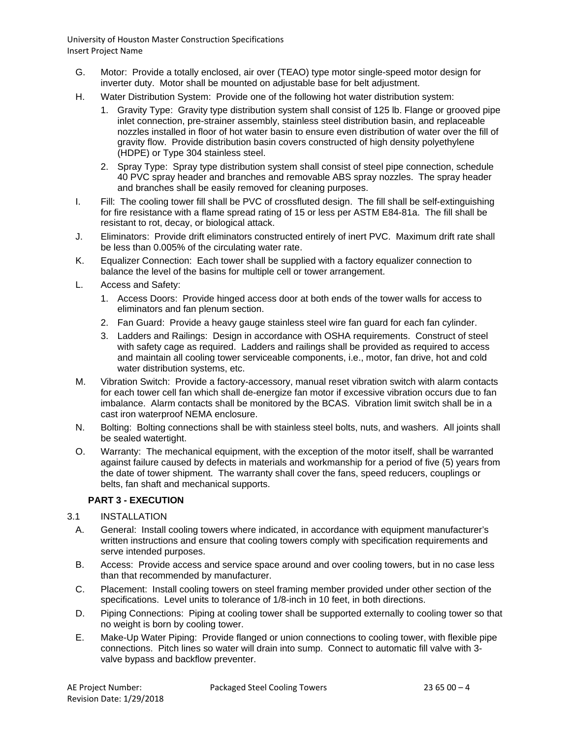- G. Motor: Provide a totally enclosed, air over (TEAO) type motor single-speed motor design for inverter duty. Motor shall be mounted on adjustable base for belt adjustment.
- H. Water Distribution System: Provide one of the following hot water distribution system:
	- 1. Gravity Type: Gravity type distribution system shall consist of 125 lb. Flange or grooved pipe inlet connection, pre-strainer assembly, stainless steel distribution basin, and replaceable nozzles installed in floor of hot water basin to ensure even distribution of water over the fill of gravity flow. Provide distribution basin covers constructed of high density polyethylene (HDPE) or Type 304 stainless steel.
	- 2. Spray Type: Spray type distribution system shall consist of steel pipe connection, schedule 40 PVC spray header and branches and removable ABS spray nozzles. The spray header and branches shall be easily removed for cleaning purposes.
- I. Fill: The cooling tower fill shall be PVC of crossfluted design. The fill shall be self-extinguishing for fire resistance with a flame spread rating of 15 or less per ASTM E84-81a. The fill shall be resistant to rot, decay, or biological attack.
- J. Eliminators: Provide drift eliminators constructed entirely of inert PVC. Maximum drift rate shall be less than 0.005% of the circulating water rate.
- K. Equalizer Connection: Each tower shall be supplied with a factory equalizer connection to balance the level of the basins for multiple cell or tower arrangement.
- L. Access and Safety:
	- 1. Access Doors: Provide hinged access door at both ends of the tower walls for access to eliminators and fan plenum section.
	- 2. Fan Guard: Provide a heavy gauge stainless steel wire fan guard for each fan cylinder.
	- 3. Ladders and Railings: Design in accordance with OSHA requirements. Construct of steel with safety cage as required. Ladders and railings shall be provided as required to access and maintain all cooling tower serviceable components, i.e., motor, fan drive, hot and cold water distribution systems, etc.
- M. Vibration Switch: Provide a factory-accessory, manual reset vibration switch with alarm contacts for each tower cell fan which shall de-energize fan motor if excessive vibration occurs due to fan imbalance. Alarm contacts shall be monitored by the BCAS. Vibration limit switch shall be in a cast iron waterproof NEMA enclosure.
- N. Bolting: Bolting connections shall be with stainless steel bolts, nuts, and washers. All joints shall be sealed watertight.
- O. Warranty: The mechanical equipment, with the exception of the motor itself, shall be warranted against failure caused by defects in materials and workmanship for a period of five (5) years from the date of tower shipment. The warranty shall cover the fans, speed reducers, couplings or belts, fan shaft and mechanical supports.

## **PART 3 - EXECUTION**

## 3.1 INSTALLATION

- A. General: Install cooling towers where indicated, in accordance with equipment manufacturer's written instructions and ensure that cooling towers comply with specification requirements and serve intended purposes.
- B. Access: Provide access and service space around and over cooling towers, but in no case less than that recommended by manufacturer.
- C. Placement: Install cooling towers on steel framing member provided under other section of the specifications. Level units to tolerance of 1/8-inch in 10 feet, in both directions.
- D. Piping Connections: Piping at cooling tower shall be supported externally to cooling tower so that no weight is born by cooling tower.
- E. Make-Up Water Piping: Provide flanged or union connections to cooling tower, with flexible pipe connections. Pitch lines so water will drain into sump. Connect to automatic fill valve with 3 valve bypass and backflow preventer.